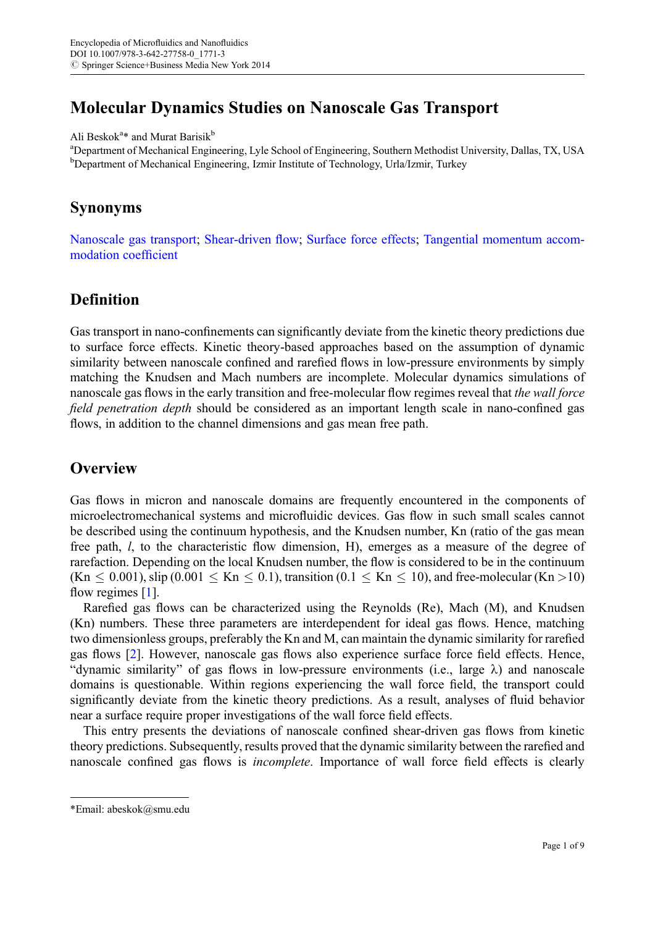# Molecular Dynamics Studies on Nanoscale Gas Transport

Ali Beskok<sup>a\*</sup> and Murat Barisik<sup>b</sup>

<sup>a</sup>Department of Mechanical Engineering, Lyle School of Engineering, Southern Methodist University, Dallas, TX, USA <sup>b</sup>Department of Mechanical Engineering, Izmir Institute of Technology, Urla/Izmir, Turkey

#### Synonyms

[Nanoscale gas transport;](http://dx.doi.org/SpringerLink:ChapterTarget) [Shear-driven](http://dx.doi.org/SpringerLink:ChapterTarget) flow; [Surface force effects;](http://dx.doi.org/SpringerLink:ChapterTarget) [Tangential momentum accom](http://dx.doi.org/SpringerLink:ChapterTarget)[modation coef](http://dx.doi.org/SpringerLink:ChapterTarget)ficient

### Definition

Gas transport in nano-confinements can significantly deviate from the kinetic theory predictions due to surface force effects. Kinetic theory-based approaches based on the assumption of dynamic similarity between nanoscale confined and rarefied flows in low-pressure environments by simply matching the Knudsen and Mach numbers are incomplete. Molecular dynamics simulations of nanoscale gas flows in the early transition and free-molecular flow regimes reveal that the wall force field penetration depth should be considered as an important length scale in nano-confined gas flows, in addition to the channel dimensions and gas mean free path.

### **Overview**

Gas flows in micron and nanoscale domains are frequently encountered in the components of microelectromechanical systems and microfluidic devices. Gas flow in such small scales cannot be described using the continuum hypothesis, and the Knudsen number, Kn (ratio of the gas mean free path, l, to the characteristic flow dimension, H), emerges as a measure of the degree of rarefaction. Depending on the local Knudsen number, the flow is considered to be in the continuum  $(Kn \le 0.001)$ , slip  $(0.001 \le Kn \le 0.1)$ , transition  $(0.1 \le Kn \le 10)$ , and free-molecular  $(Kn > 10)$ flow regimes [\[1](#page-8-0)].

Rarefied gas flows can be characterized using the Reynolds (Re), Mach (M), and Knudsen (Kn) numbers. These three parameters are interdependent for ideal gas flows. Hence, matching two dimensionless groups, preferably the Kn and M, can maintain the dynamic similarity for rarefied gas flows [\[2](#page-8-0)]. However, nanoscale gas flows also experience surface force field effects. Hence, "dynamic similarity" of gas flows in low-pressure environments (i.e., large  $\lambda$ ) and nanoscale domains is questionable. Within regions experiencing the wall force field, the transport could significantly deviate from the kinetic theory predictions. As a result, analyses of fluid behavior near a surface require proper investigations of the wall force field effects.

This entry presents the deviations of nanoscale confined shear-driven gas flows from kinetic theory predictions. Subsequently, results proved that the dynamic similarity between the rarefied and nanoscale confined gas flows is *incomplete*. Importance of wall force field effects is clearly

<sup>\*</sup>Email: abeskok@smu.edu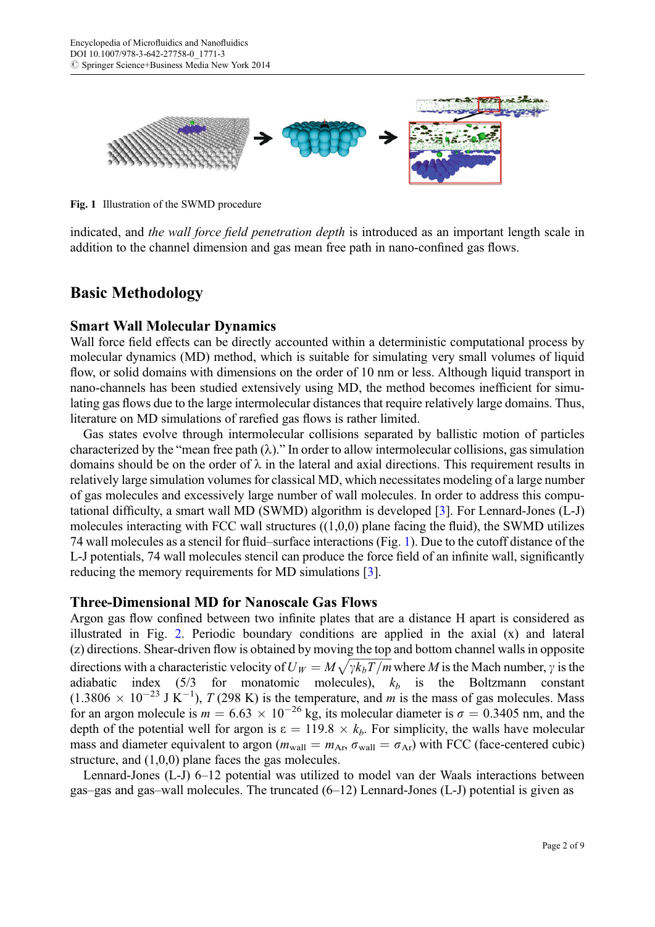

Fig. 1 Illustration of the SWMD procedure

indicated, and the wall force field penetration depth is introduced as an important length scale in addition to the channel dimension and gas mean free path in nano-confined gas flows.

### Basic Methodology

#### Smart Wall Molecular Dynamics

Wall force field effects can be directly accounted within a deterministic computational process by molecular dynamics (MD) method, which is suitable for simulating very small volumes of liquid flow, or solid domains with dimensions on the order of 10 nm or less. Although liquid transport in nano-channels has been studied extensively using MD, the method becomes inefficient for simulating gas flows due to the large intermolecular distances that require relatively large domains. Thus, literature on MD simulations of rarefied gas flows is rather limited.

Gas states evolve through intermolecular collisions separated by ballistic motion of particles characterized by the "mean free path  $(\lambda)$ ." In order to allow intermolecular collisions, gas simulation domains should be on the order of  $\lambda$  in the lateral and axial directions. This requirement results in relatively large simulation volumes for classical MD, which necessitates modeling of a large number of gas molecules and excessively large number of wall molecules. In order to address this computational difficulty, a smart wall MD (SWMD) algorithm is developed [\[3](#page-8-0)]. For Lennard-Jones (L-J) molecules interacting with FCC wall structures  $((1,0,0)$  plane facing the fluid), the SWMD utilizes 74 wall molecules as a stencil for fluid–surface interactions (Fig. 1). Due to the cutoff distance of the L-J potentials, 74 wall molecules stencil can produce the force field of an infinite wall, significantly reducing the memory requirements for MD simulations [[3\]](#page-8-0).

#### Three-Dimensional MD for Nanoscale Gas Flows

Argon gas flow confined between two infinite plates that are a distance H apart is considered as illustrated in Fig. [2.](#page-2-0) Periodic boundary conditions are applied in the axial (x) and lateral (z) directions. Shear-driven flow is obtained by moving the top and bottom channel walls in opposite directions with a characteristic velocity of  $U_W = M \sqrt{\gamma k_b T/m}$  where M is the Mach number,  $\gamma$  is the adiabatic index (5/3 for monatomic molecules)  $k_i$  is the Boltzmann constant adiabatic index  $(5/3$  for monatomic molecules),  $k_b$  is the Boltzmann constant  $(1.3806 \times 10^{-23} \text{ J K}^{-1})$ ,  $T(298 \text{ K})$  is the temperature, and m is the mass of gas molecules. Mass for an argon molecule is  $m = 6.63 \times 10^{-26}$  kg, its molecular diameter is  $\sigma = 0.3405$  nm, and the depth of the potential well for argon is  $\varepsilon = 119.8 \times k_b$ . For simplicity, the walls have molecular mass and diameter equivalent to argon ( $m_{\text{wall}} = m_{\text{Ar}}$ ,  $\sigma_{\text{wall}} = \sigma_{\text{Ar}}$ ) with FCC (face-centered cubic) structure, and (1,0,0) plane faces the gas molecules.

Lennard-Jones (L-J) 6–12 potential was utilized to model van der Waals interactions between gas–gas and gas–wall molecules. The truncated (6–12) Lennard-Jones (L-J) potential is given as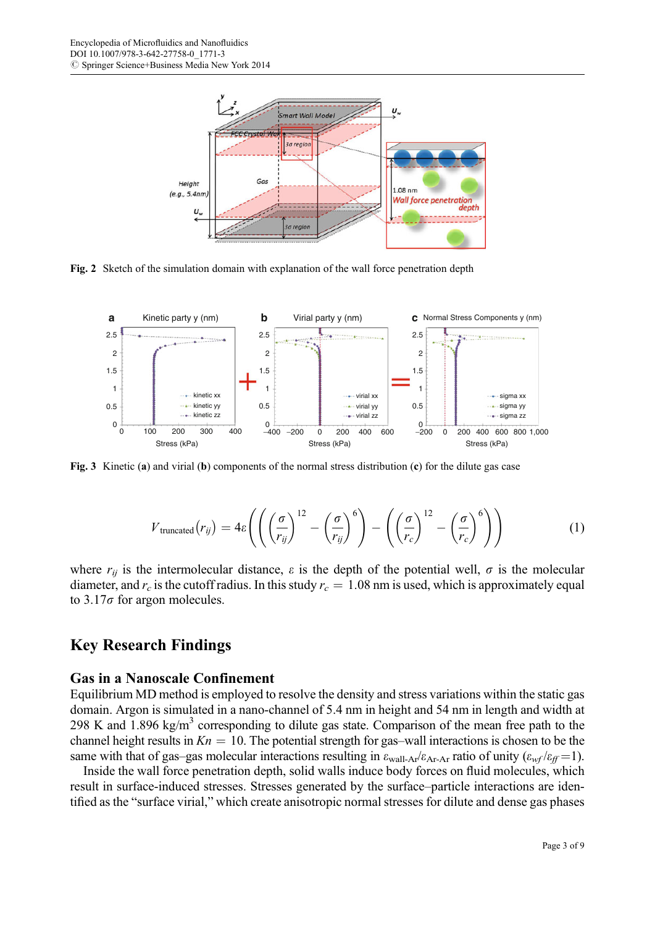<span id="page-2-0"></span>

Fig. 2 Sketch of the simulation domain with explanation of the wall force penetration depth



Fig. 3 Kinetic (a) and virial (b) components of the normal stress distribution (c) for the dilute gas case

$$
V_{\text{truncated}}(r_{ij}) = 4\varepsilon \left( \left( \left( \frac{\sigma}{r_{ij}} \right)^{12} - \left( \frac{\sigma}{r_{ij}} \right)^6 \right) - \left( \left( \frac{\sigma}{r_c} \right)^{12} - \left( \frac{\sigma}{r_c} \right)^6 \right) \right) \tag{1}
$$

where  $r_{ij}$  is the intermolecular distance,  $\varepsilon$  is the depth of the potential well,  $\sigma$  is the molecular diameter, and  $r_c$  is the cutoff radius. In this study  $r_c = 1.08$  nm is used, which is approximately equal to  $3.17\sigma$  for argon molecules.

### Key Research Findings

#### Gas in a Nanoscale Confinement

Equilibrium MD method is employed to resolve the density and stress variations within the static gas domain. Argon is simulated in a nano-channel of 5.4 nm in height and 54 nm in length and width at 298 K and 1.896 kg/m<sup>3</sup> corresponding to dilute gas state. Comparison of the mean free path to the channel height results in  $Kn = 10$ . The potential strength for gas-wall interactions is chosen to be the same with that of gas–gas molecular interactions resulting in  $\varepsilon_{\text{wall-Ar}}/\varepsilon_{\text{Ar-Ar}}$  ratio of unity  $(\varepsilon_{\text{wf}}/\varepsilon_{\text{ff}}=1)$ .

Inside the wall force penetration depth, solid walls induce body forces on fluid molecules, which result in surface-induced stresses. Stresses generated by the surface–particle interactions are identified as the "surface virial," which create anisotropic normal stresses for dilute and dense gas phases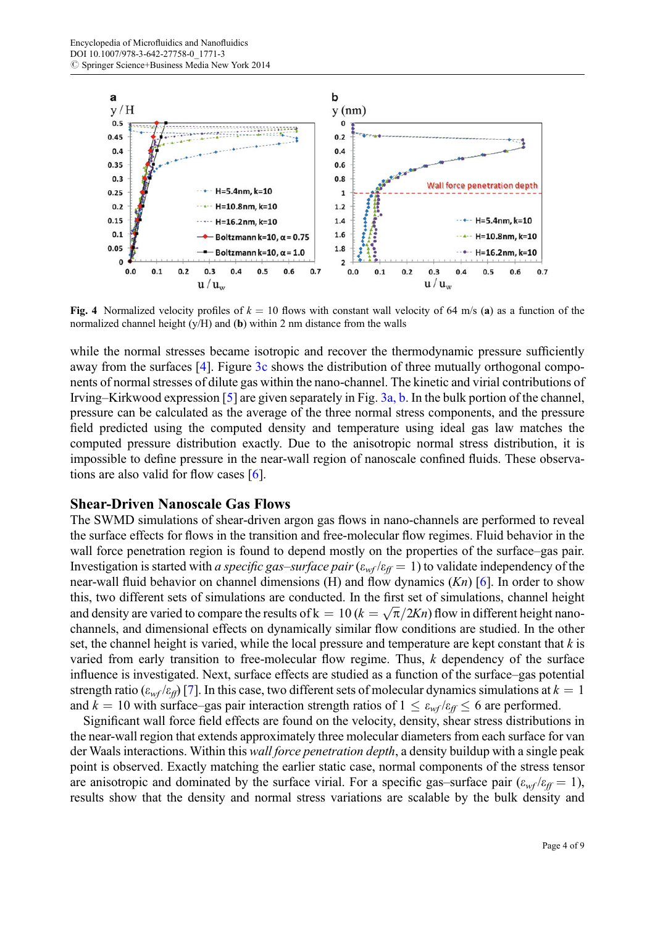<span id="page-3-0"></span>

Fig. 4 Normalized velocity profiles of  $k = 10$  flows with constant wall velocity of 64 m/s (a) as a function of the normalized channel height  $(y/H)$  and  $(b)$  within 2 nm distance from the walls

while the normal stresses became isotropic and recover the thermodynamic pressure sufficiently away from the surfaces [[4\]](#page-8-0). Figure [3c](#page-2-0) shows the distribution of three mutually orthogonal components of normal stresses of dilute gas within the nano-channel. The kinetic and virial contributions of Irving–Kirkwood expression [\[5](#page-8-0)] are given separately in Fig. [3a, b.](#page-2-0) In the bulk portion of the channel, pressure can be calculated as the average of the three normal stress components, and the pressure field predicted using the computed density and temperature using ideal gas law matches the computed pressure distribution exactly. Due to the anisotropic normal stress distribution, it is impossible to define pressure in the near-wall region of nanoscale confined fluids. These observations are also valid for flow cases  $[6]$  $[6]$ .

#### Shear-Driven Nanoscale Gas Flows

The SWMD simulations of shear-driven argon gas flows in nano-channels are performed to reveal the surface effects for flows in the transition and free-molecular flow regimes. Fluid behavior in the wall force penetration region is found to depend mostly on the properties of the surface–gas pair. Investigation is started with a specific gas–surface pair  $(\varepsilon_{wf}/\varepsilon_{ff} = 1)$  to validate independency of the near-wall fluid behavior on channel dimensions (H) and flow dynamics  $(Kn)$  [\[6](#page-8-0)]. In order to show this, two different sets of simulations are conducted. In the first set of simulations, channel height and density are varied to compare the results of  $k = 10$  ( $k = \sqrt{\pi}/2Kn$ ) flow in different height nanochannels, and dimensional effects on dynamically similar flow conditions are studied. In the other set, the channel height is varied, while the local pressure and temperature are kept constant that  $k$  is varied from early transition to free-molecular flow regime. Thus, k dependency of the surface influence is investigated. Next, surface effects are studied as a function of the surface–gas potential strength ratio ( $\varepsilon_{wf}/\varepsilon_{ff}$ ) [\[7](#page-8-0)]. In this case, two different sets of molecular dynamics simulations at  $k = 1$ and  $k = 10$  with surface–gas pair interaction strength ratios of  $1 \leq \varepsilon_{w} / \varepsilon_{w} \leq 6$  are performed.

Significant wall force field effects are found on the velocity, density, shear stress distributions in the near-wall region that extends approximately three molecular diameters from each surface for van der Waals interactions. Within this wall force penetration depth, a density buildup with a single peak point is observed. Exactly matching the earlier static case, normal components of the stress tensor are anisotropic and dominated by the surface virial. For a specific gas–surface pair  $(\varepsilon_{wf}/\varepsilon_{ff} = 1)$ , results show that the density and normal stress variations are scalable by the bulk density and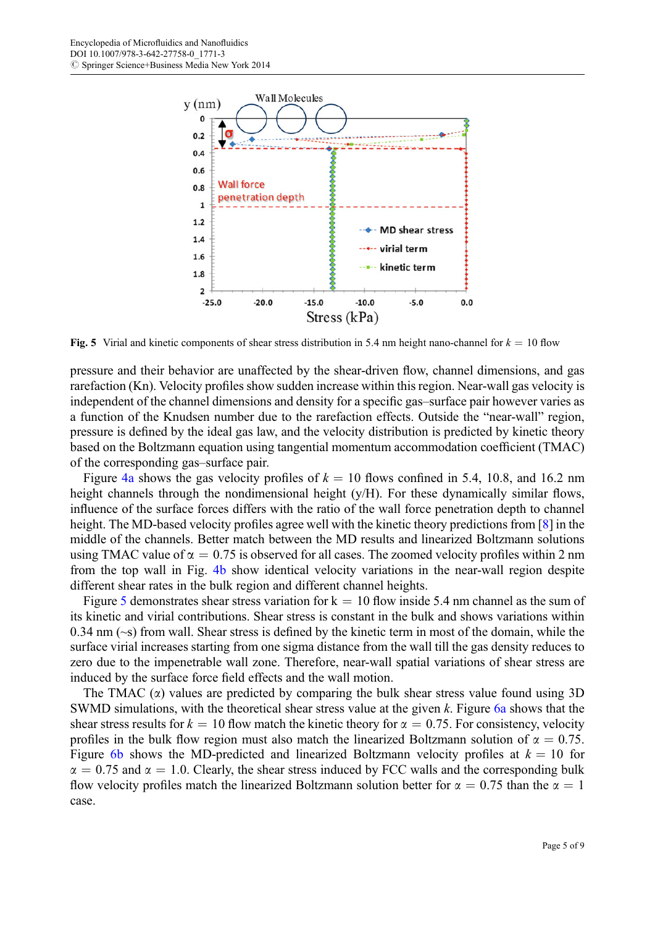

Fig. 5 Virial and kinetic components of shear stress distribution in 5.4 nm height nano-channel for  $k = 10$  flow

pressure and their behavior are unaffected by the shear-driven flow, channel dimensions, and gas rarefaction (Kn). Velocity profiles show sudden increase within this region. Near-wall gas velocity is independent of the channel dimensions and density for a specific gas–surface pair however varies as a function of the Knudsen number due to the rarefaction effects. Outside the "near-wall" region, pressure is defined by the ideal gas law, and the velocity distribution is predicted by kinetic theory based on the Boltzmann equation using tangential momentum accommodation coefficient (TMAC) of the corresponding gas–surface pair.

Figure [4a](#page-3-0) shows the gas velocity profiles of  $k = 10$  flows confined in 5.4, 10.8, and 16.2 nm height channels through the nondimensional height (y/H). For these dynamically similar flows, influence of the surface forces differs with the ratio of the wall force penetration depth to channel height. The MD-based velocity profiles agree well with the kinetic theory predictions from [\[8](#page-8-0)] in the middle of the channels. Better match between the MD results and linearized Boltzmann solutions using TMAC value of  $\alpha = 0.75$  is observed for all cases. The zoomed velocity profiles within 2 nm from the top wall in Fig. [4b](#page-3-0) show identical velocity variations in the near-wall region despite different shear rates in the bulk region and different channel heights.

Figure 5 demonstrates shear stress variation for  $k = 10$  flow inside 5.4 nm channel as the sum of its kinetic and virial contributions. Shear stress is constant in the bulk and shows variations within 0.34 nm (~s) from wall. Shear stress is defined by the kinetic term in most of the domain, while the surface virial increases starting from one sigma distance from the wall till the gas density reduces to zero due to the impenetrable wall zone. Therefore, near-wall spatial variations of shear stress are induced by the surface force field effects and the wall motion.

The TMAC  $(\alpha)$  values are predicted by comparing the bulk shear stress value found using 3D SWMD simulations, with the theoretical shear stress value at the given k. Figure [6a](#page-5-0) shows that the shear stress results for  $k = 10$  flow match the kinetic theory for  $\alpha = 0.75$ . For consistency, velocity profiles in the bulk flow region must also match the linearized Boltzmann solution of  $\alpha = 0.75$ . Figure [6b](#page-5-0) shows the MD-predicted and linearized Boltzmann velocity profiles at  $k = 10$  for  $\alpha = 0.75$  and  $\alpha = 1.0$ . Clearly, the shear stress induced by FCC walls and the corresponding bulk flow velocity profiles match the linearized Boltzmann solution better for  $\alpha = 0.75$  than the  $\alpha = 1$ case.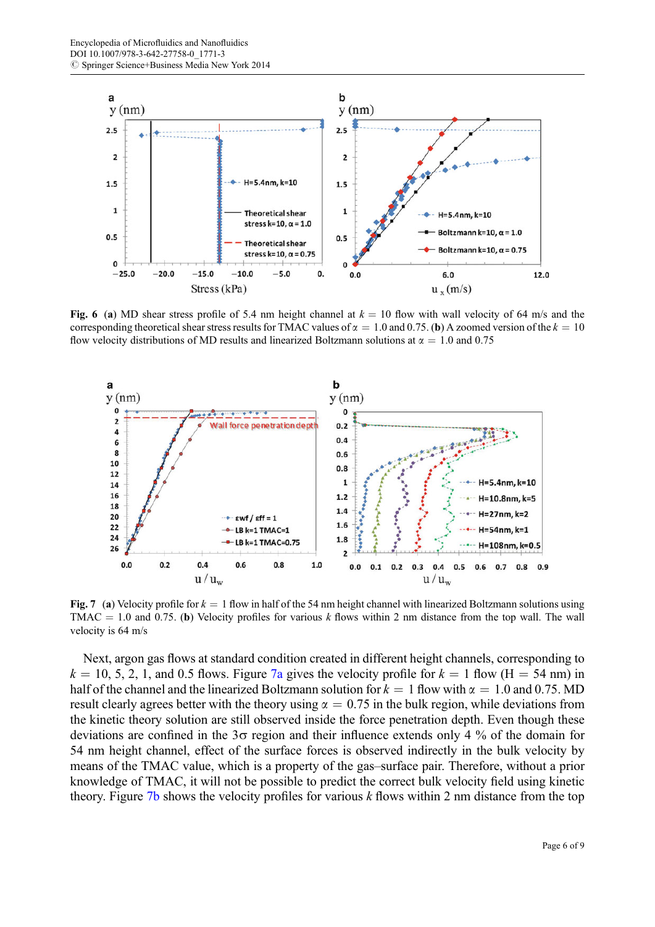<span id="page-5-0"></span>

Fig. 6 (a) MD shear stress profile of 5.4 nm height channel at  $k = 10$  flow with wall velocity of 64 m/s and the corresponding theoretical shear stress results for TMAC values of  $\alpha = 1.0$  and 0.75. (b) A zoomed version of the  $k = 10$ flow velocity distributions of MD results and linearized Boltzmann solutions at  $\alpha = 1.0$  and 0.75



Fig. 7 (a) Velocity profile for  $k = 1$  flow in half of the 54 nm height channel with linearized Boltzmann solutions using TMAC = 1.0 and 0.75. (b) Velocity profiles for various k flows within 2 nm distance from the top wall. The wall velocity is 64 m/s

Next, argon gas flows at standard condition created in different height channels, corresponding to  $k = 10, 5, 2, 1$ , and 0.5 flows. Figure 7a gives the velocity profile for  $k = 1$  flow (H = 54 nm) in half of the channel and the linearized Boltzmann solution for  $k = 1$  flow with  $\alpha = 1.0$  and 0.75. MD result clearly agrees better with the theory using  $\alpha = 0.75$  in the bulk region, while deviations from the kinetic theory solution are still observed inside the force penetration depth. Even though these deviations are confined in the  $3\sigma$  region and their influence extends only 4 % of the domain for 54 nm height channel, effect of the surface forces is observed indirectly in the bulk velocity by means of the TMAC value, which is a property of the gas–surface pair. Therefore, without a prior knowledge of TMAC, it will not be possible to predict the correct bulk velocity field using kinetic theory. Figure  $7b$  shows the velocity profiles for various k flows within 2 nm distance from the top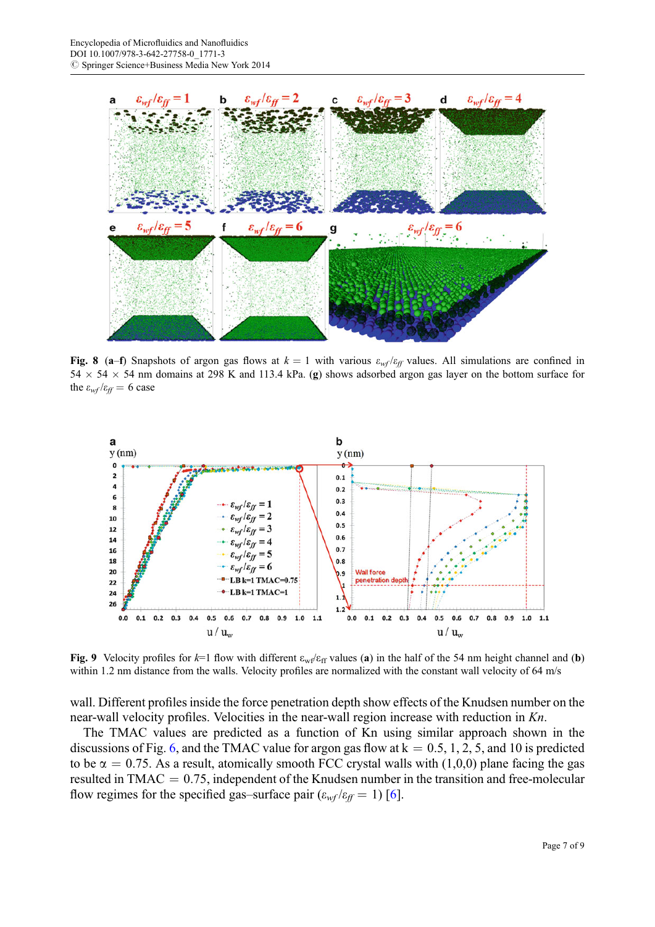<span id="page-6-0"></span>

Fig. 8 (a–f) Snapshots of argon gas flows at  $k = 1$  with various  $\varepsilon_{wf}/\varepsilon_{ff}$  values. All simulations are confined in  $54 \times 54 \times 54$  nm domains at 298 K and 113.4 kPa. (g) shows adsorbed argon gas layer on the bottom surface for the  $\varepsilon_{wf}/\varepsilon_{ff} = 6$  case



Fig. 9 Velocity profiles for  $k=1$  flow with different  $\varepsilon_{wf}/\varepsilon_{ff}$  values (a) in the half of the 54 nm height channel and (b) within 1.2 nm distance from the walls. Velocity profiles are normalized with the constant wall velocity of 64 m/s

wall. Different profiles inside the force penetration depth show effects of the Knudsen number on the near-wall velocity profiles. Velocities in the near-wall region increase with reduction in Kn.

The TMAC values are predicted as a function of Kn using similar approach shown in the discussions of Fig. [6,](#page-5-0) and the TMAC value for argon gas flow at  $k = 0.5, 1, 2, 5$ , and 10 is predicted to be  $\alpha = 0.75$ . As a result, atomically smooth FCC crystal walls with (1,0,0) plane facing the gas resulted in TMAC  $= 0.75$ , independent of the Knudsen number in the transition and free-molecular flow regimes for the specified gas–surface pair  $(\varepsilon_{wf}/\varepsilon_{ff} = 1)$  [[6\]](#page-8-0).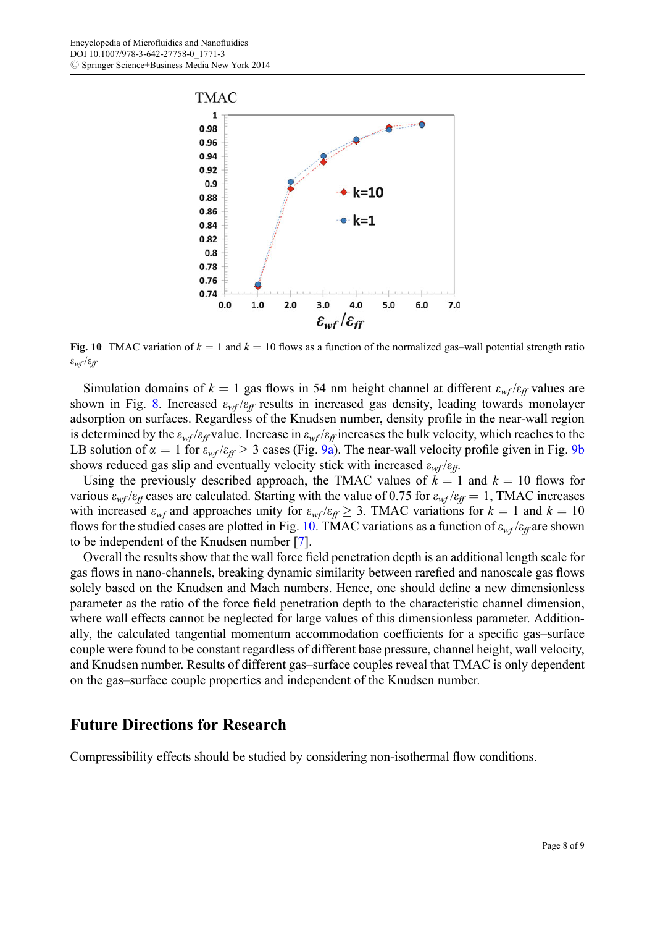

Fig. 10 TMAC variation of  $k = 1$  and  $k = 10$  flows as a function of the normalized gas-wall potential strength ratio  $\varepsilon_{wf}/\varepsilon_{ff}$ 

Simulation domains of  $k = 1$  gas flows in 54 nm height channel at different  $\varepsilon_{wf}/\varepsilon_{ff}$  values are shown in Fig. [8](#page-6-0). Increased  $\varepsilon_{wf}/\varepsilon_{ff}$  results in increased gas density, leading towards monolayer adsorption on surfaces. Regardless of the Knudsen number, density profile in the near-wall region is determined by the  $\varepsilon_{wf}/\varepsilon_{ff}$  value. Increase in  $\varepsilon_{wf}/\varepsilon_{ff}$  increases the bulk velocity, which reaches to the LB solution of  $\alpha = 1$  for  $\varepsilon_{wf}/\varepsilon_{ff} \geq 3$  cases (Fig. [9a](#page-6-0)). The near-wall velocity profile given in Fig. [9b](#page-6-0) shows reduced gas slip and eventually velocity stick with increased  $\varepsilon_{wf}/\varepsilon_{ff}$ .

Using the previously described approach, the TMAC values of  $k = 1$  and  $k = 10$  flows for various  $\varepsilon_{wf}/\varepsilon_{ff}$  cases are calculated. Starting with the value of 0.75 for  $\varepsilon_{wf}/\varepsilon_{ff} = 1$ , TMAC increases with increased  $\varepsilon_{wf}$  and approaches unity for  $\varepsilon_{wf}/\varepsilon_{ff} \geq 3$ . TMAC variations for  $k = 1$  and  $k = 10$ flows for the studied cases are plotted in Fig. 10. TMAC variations as a function of  $\varepsilon_{wf}/\varepsilon_{ff}$  are shown to be independent of the Knudsen number [[7\]](#page-8-0).

Overall the results show that the wall force field penetration depth is an additional length scale for gas flows in nano-channels, breaking dynamic similarity between rarefied and nanoscale gas flows solely based on the Knudsen and Mach numbers. Hence, one should define a new dimensionless parameter as the ratio of the force field penetration depth to the characteristic channel dimension, where wall effects cannot be neglected for large values of this dimensionless parameter. Additionally, the calculated tangential momentum accommodation coefficients for a specific gas–surface couple were found to be constant regardless of different base pressure, channel height, wall velocity, and Knudsen number. Results of different gas–surface couples reveal that TMAC is only dependent on the gas–surface couple properties and independent of the Knudsen number.

#### Future Directions for Research

Compressibility effects should be studied by considering non-isothermal flow conditions.